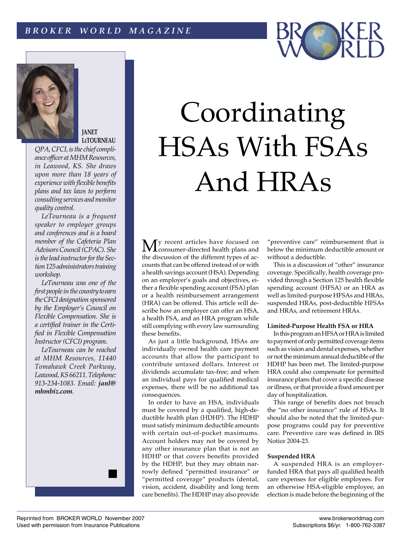# *B R O K E R W O R L D M A G A Z I N E*



**JANET [LeTOURNEAU](http://www.mhmResources.com/kp_jl.htm)**

*QPA, CFCI, is the chief compliance officer a[t MHM Resources,](http://www.mhmResources.com)  in Leawood, KS. She draws upon more than 18 years of experience with flexible benefits plans and tax laws to perform consulting services and monitor quality control.*

*LeTourneau is a frequent speaker to employer groups and conferences and is a board member of the Cafeteria Plan Advisors Council (CPAC). She is the lead instructor for the Section 125 administrators training workshop.*

*LeTourneau was one of the first people in the country to earn the CFCI designation sponsored by the Employer's Council on Flexible Compensation. She is a certified trainer in the Certified in Flexible Compensation Instructor (CFCI) program.*

*LeTourneau can be reached a[t MHM Resources,](http://www.mhmResources.com) 11440 Tomahawk Creek Parkway, Leawood, KS 66211. Telephone: 913-234-1083. Email: janl@ mhmbiz.com*.



**My** recent articles have focused on consumer-directed health plans and the discussion of the different types of accounts that can be offered instead of or with a health savings account (HSA). Depending on an employer's goals and objectives, either a flexible spending account (FSA) plan or a health reimbursement arrangement (HRA) can be offered. This article will describe how an employer can offer an HSA, a health FSA, and an HRA program while still complying with every law surrounding these benefits.

As just a little background, HSAs are individually owned health care payment accounts that allow the participant to contribute untaxed dollars. Interest or dividends accumulate tax-free; and when an individual pays for qualified medical expenses, there will be no additional tax consequences.

In order to have an HSA, individuals must be covered by a qualified, high-deductible health plan (HDHP). The HDHP must satisfy minimum deductible amounts with certain out-of-pocket maximums. Account holders may not be covered by any other insurance plan that is not an HDHP or that covers benefits provided by the HDHP, but they may obtain narrowly defined "permitted insurance" or "permitted coverage" products (dental, vision, accident, disability and long term care benefits). The HDHP may also provide

"preventive care" reimbursement that is below the minimum deductible amount or without a deductible.

This is a discussion of "other" insurance coverage. Specifically, health coverage provided through a Section 125 health flexible spending account (HFSA) or an HRA as well as limited-purpose HFSAs and HRAs, suspended HRAs, post-deductible HFSAs and HRAs, and retirement HRAs.

## **Limited-Purpose Health FSA or HRA**

In this program an HFSA or HRA is limited to payment of only permitted coverage items such as vision and dental expenses, whether or not the minimum annual deductible of the HDHP has been met. The limited-purpose HRA could also compensate for permitted insurance plans that cover a specific disease or illness, or that provide a fixed amount per day of hospitalization.

This range of benefits does not breach the "no other insurance" rule of HSAs. It should also be noted that the limited-purpose programs could pay for preventive care. Preventive care was defined in IRS Notice 2004-23.

#### **Suspended HRA**

A suspended HRA is an employerfunded HRA that pays all qualified health care expenses for eligible employees. For an otherwise HSA-eligible employee, an election is made before the beginning of the